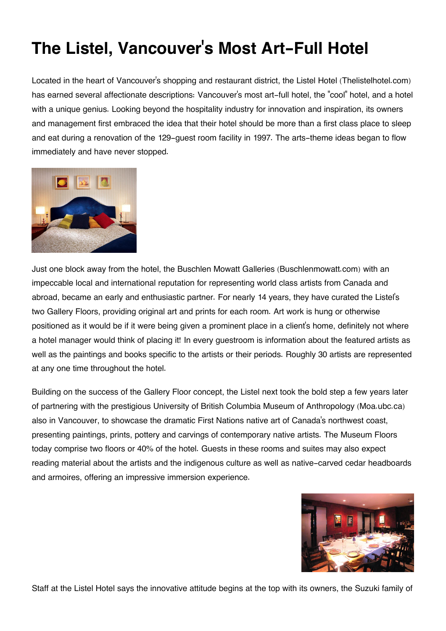## **The Listel, Vancouver's Most Art-Full Hotel**

Located in the heart of Vancouver's shopping and restaurant district, the Listel Hotel (Thelistelhotel.com) has earned several affectionate descriptions: Vancouver's most art-full hotel, the "cool" hotel, and a hotel with a unique genius. Looking beyond the hospitality industry for innovation and inspiration, its owners and management first embraced the idea that their hotel should be more than a first class place to sleep and eat during a renovation of the 129-guest room facility in 1997. The arts-theme ideas began to flow immediately and have never stopped.



Just one block away from the hotel, the Buschlen Mowatt Galleries (Buschlenmowatt.com) with an impeccable local and international reputation for representing world class artists from Canada and abroad, became an early and enthusiastic partner. For nearly 14 years, they have curated the Listel's two Gallery Floors, providing original art and prints for each room. Art work is hung or otherwise positioned as it would be if it were being given a prominent place in a client's home, definitely not where a hotel manager would think of placing it! In every guestroom is information about the featured artists as well as the paintings and books specific to the artists or their periods. Roughly 30 artists are represented at any one time throughout the hotel.

Building on the success of the Gallery Floor concept, the Listel next took the bold step a few years later of partnering with the prestigious University of British Columbia Museum of Anthropology (Moa.ubc.ca) also in Vancouver, to showcase the dramatic First Nations native art of Canada's northwest coast, presenting paintings, prints, pottery and carvings of contemporary native artists. The Museum Floors today comprise two floors or 40% of the hotel. Guests in these rooms and suites may also expect reading material about the artists and the indigenous culture as well as native-carved cedar headboards and armoires, offering an impressive immersion experience.



Staff at the Listel Hotel says the innovative attitude begins at the top with its owners, the Suzuki family of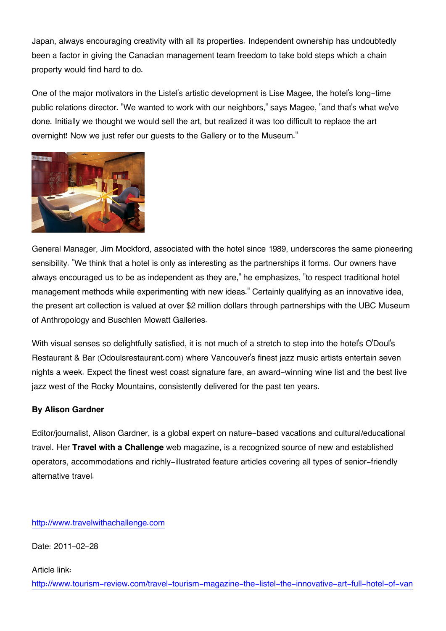Japan, always encouraging creativity with all its properties. Independent ownership has undoubtedly been a factor in giving the Canadian management team freedom to take bold steps which a chain property would find hard to do.

One of the major motivators in the Listel's artistic development is Lise Magee, the hotel's long-time public relations director. "We wanted to work with our neighbors," says Magee, "and that's what we've done. Initially we thought we would sell the art, but realized it was too difficult to replace the art overnight! Now we just refer our guests to the Gallery or to the Museum."



General Manager, Jim Mockford, associated with the hotel since 1989, underscores the same pioneering sensibility. "We think that a hotel is only as interesting as the partnerships it forms. Our owners have always encouraged us to be as independent as they are," he emphasizes, "to respect traditional hotel management methods while experimenting with new ideas." Certainly qualifying as an innovative idea, the present art collection is valued at over \$2 million dollars through partnerships with the UBC Museum of Anthropology and Buschlen Mowatt Galleries.

With visual senses so delightfully satisfied, it is not much of a stretch to step into the hotel's O'Doul's Restaurant & Bar (Odoulsrestaurant.com) where Vancouver's finest jazz music artists entertain seven nights a week. Expect the finest west coast signature fare, an award-winning wine list and the best live jazz west of the Rocky Mountains, consistently delivered for the past ten years.

## **By Alison Gardner**

Editor/journalist, Alison Gardner, is a global expert on nature-based vacations and cultural/educational travel. Her **Travel with a Challenge** web magazine, is a recognized source of new and established operators, accommodations and richly-illustrated feature articles covering all types of senior-friendly alternative travel.

[http://www.travelwithachallenge.com](http://www.travelwithachallenge.com/)

Date: 2011-02-28

Article link:

[http://www.tourism-review.com/travel-tourism-magazine-the-listel-the-innovative-art-full-hotel-of-van](http://www.tourism-review.com/travel-tourism-magazine-the-listel-the-innovative-art-full-hotel-of-vancouver-article1444)